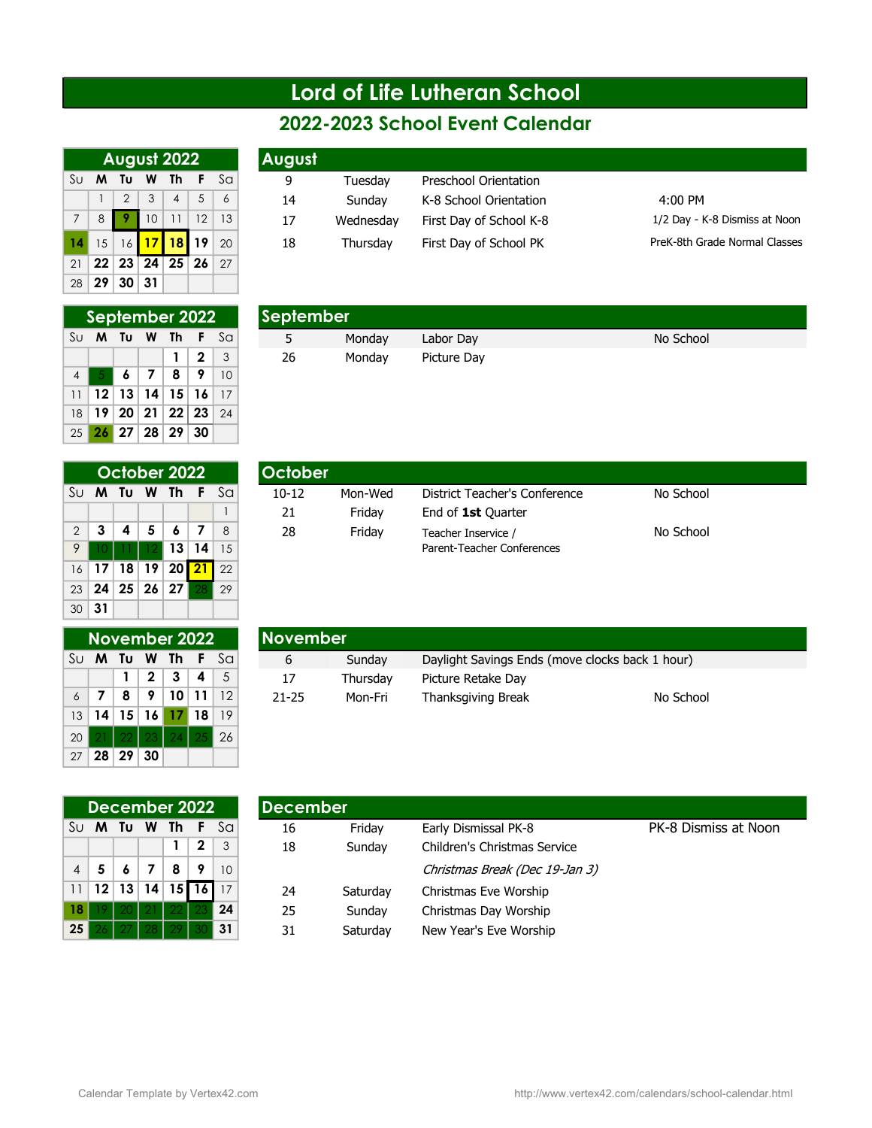## Lord of Life Lutheran School

|             |                 | August 2022                                  |               |               |                |    | August |
|-------------|-----------------|----------------------------------------------|---------------|---------------|----------------|----|--------|
| Su          | м               | Tυ                                           | W Th          |               | - F            | Sa |        |
|             |                 | $\overline{2}$                               | $\mathcal{S}$ | $\parallel$ 4 | $\overline{5}$ | 6  | 14     |
| $7^{\circ}$ | 8               |                                              | $ 10\rangle$  | 11 12         |                | 13 | 17     |
| 4           |                 | 15 16 17 18 19 20                            |               |               |                |    | 18     |
| 21          |                 | $22 \mid 23 \mid 24 \mid 25 \mid 26 \mid 27$ |               |               |                |    |        |
| 28          | 29 <sup>1</sup> | 30 <sup>1</sup>                              | -31           |               |                |    |        |

|                                             | September 2022 |     |                          |   |                |                 |  |  |  |  |
|---------------------------------------------|----------------|-----|--------------------------|---|----------------|-----------------|--|--|--|--|
| Tu W Th<br>Su<br>-F<br>S <sub>G</sub><br>M. |                |     |                          |   |                |                 |  |  |  |  |
|                                             |                |     |                          | 1 | $\overline{2}$ | -3              |  |  |  |  |
| $\overline{4}$                              | $-5$           | l 6 | $\vert 7 \vert 8$        |   | 19             | $\overline{10}$ |  |  |  |  |
| 11                                          |                |     | $12$   13   14   15   16 |   |                | -17             |  |  |  |  |
| 18                                          |                |     | 19   20   21   22   23   |   |                | 24              |  |  |  |  |
|                                             |                |     | 25 26 27 28 29 30        |   |                |                 |  |  |  |  |

| 14              | 15             |       |       | 16 17 18 19     |    | 20 | 18        | Thursday | First Day of School PK | PreK-8th Gra |
|-----------------|----------------|-------|-------|-----------------|----|----|-----------|----------|------------------------|--------------|
| 21              | 22             |       | 23 24 | 25 <sup>2</sup> | 26 | 27 |           |          |                        |              |
| 28 <sup>1</sup> | 29             | 30 31 |       |                 |    |    |           |          |                        |              |
|                 |                |       |       |                 |    |    |           |          |                        |              |
|                 | September 2022 |       |       |                 |    |    | September |          |                        |              |
| Sul             | M              | Tu    | W     | Th              |    | Sa |           | Monday   | Labor Day              | No School    |
|                 |                |       |       |                 | 2  | 3  | 26        | Monday   | Picture Day            |              |
|                 |                |       |       |                 |    |    |           |          |                        |              |

|                | October 2022 |    |                 |            |                 |               |  |  |  |  |  |
|----------------|--------------|----|-----------------|------------|-----------------|---------------|--|--|--|--|--|
| Su             | M            |    | Tu W Th         |            |                 | Sa            |  |  |  |  |  |
|                |              |    |                 |            |                 |               |  |  |  |  |  |
| $\overline{2}$ | 3            | 4  | $\overline{5}$  | ∣6         | - 7             | $\mathcal{B}$ |  |  |  |  |  |
| 9              |              |    |                 | $12$ 13 14 |                 | 15            |  |  |  |  |  |
| 16             | 17           | 18 | 19 <sup>1</sup> | 20         | $\overline{21}$ | 22            |  |  |  |  |  |
| 23             | 24           |    |                 | 25 26 27   | -28             | 29            |  |  |  |  |  |
| 30             | 31           |    |                 |            |                 |               |  |  |  |  |  |

|                |    |   | October 2022 |                | <b>October</b> |         |                               |           |
|----------------|----|---|--------------|----------------|----------------|---------|-------------------------------|-----------|
| Su M           | Tu | W | Th           | S <sub>G</sub> | $10 - 12$      | Mon-Wed | District Teacher's Conference | No School |
|                |    |   |              |                | 21             | Fridav  | End of 1st Ouarter            |           |
| 2 <sup>1</sup> |    | 5 |              |                | 28             | Friday  | Teacher Inservice /           | No School |
| 9              |    |   |              | 15             |                |         | Parent-Teacher Conferences    |           |

|                 | November 2022 |              |         |                          |     |            |
|-----------------|---------------|--------------|---------|--------------------------|-----|------------|
| Su              |               | M Tu         |         | W Th                     | -F  | Sa         |
|                 |               | $\mathbf{1}$ |         | $2 \mid 3 \mid 4$        |     | - 5        |
| $\overline{6}$  |               | 8            |         | 9   10   11              |     | $\vert$ 12 |
| 13 <sup>1</sup> |               |              |         | $14$   15   16   17   18 |     | -19        |
| 20              |               |              | $22$ 23 | I<br>$\overline{24}$     | -25 | 26         |
| 27              |               | 28 29        | 30      |                          |     |            |

|      |      |                | November 2022 |              |     | <b>November</b> |          |                                                 |           |
|------|------|----------------|---------------|--------------|-----|-----------------|----------|-------------------------------------------------|-----------|
| Su M | Tu W |                | Th.           |              | Sal | b               | Sundav   | Daylight Savings Ends (move clocks back 1 hour) |           |
|      |      | $\overline{2}$ |               |              |     | 17              | Thursdav | Picture Retake Day                              |           |
|      |      | $\bullet$      |               | $10 \mid 11$ | 12  | 21-25           | Mon-Fri  | Thanksgiving Break                              | No School |

|                | December 2022 |         |                          |       |             |              |  |  |  |  |  |
|----------------|---------------|---------|--------------------------|-------|-------------|--------------|--|--|--|--|--|
| Su             |               |         | M Tu W Th F              |       |             | $S_{\Omega}$ |  |  |  |  |  |
|                |               |         |                          |       | $\mathbf 2$ | $\mathbf{3}$ |  |  |  |  |  |
| $\overline{A}$ |               |         | $5 \mid 6 \mid 7 \mid 8$ |       | - 9         | 10           |  |  |  |  |  |
| 11             |               |         | $12$ 13 14 15 16 17      |       |             |              |  |  |  |  |  |
| 18             |               | 20   21 |                          | $-22$ | 23          | 24           |  |  |  |  |  |
| 25             |               | -271-28 |                          |       | 30          | 31           |  |  |  |  |  |

|                 |    | December 2022 |     |                 |      |              | <b>I</b> December |          |                                |                      |
|-----------------|----|---------------|-----|-----------------|------|--------------|-------------------|----------|--------------------------------|----------------------|
| Sul             | M  | Tu            | W   | Th              |      | Sa           | 16                | Friday   | Early Dismissal PK-8           | PK-8 Dismiss at Noon |
|                 |    |               |     |                 | 2    | $\mathbf{3}$ | 18                | Sunday   | Children's Christmas Service   |                      |
| 4               |    |               |     | 8               | 9    | 10           |                   |          | Christmas Break (Dec 19-Jan 3) |                      |
| 11 <sup>1</sup> | 12 | 13            | 14  | 15 <sup>1</sup> | 16 I |              | 24                | Saturday | Christmas Eve Worship          |                      |
| 18 <sup>1</sup> |    |               | 21. | 22 <sub>1</sub> | 23   | 24           | 25                | Sunday   | Christmas Day Worship          |                      |
| 25 I            |    |               | 28  | 29              | 30   | 31           | 31                | Saturday | New Year's Eve Worship         |                      |

|     |   |                |               |                |     |              |        |           | 2022-2023 School Event Calendar |               |
|-----|---|----------------|---------------|----------------|-----|--------------|--------|-----------|---------------------------------|---------------|
|     |   | August 2022    |               |                |     |              | August |           |                                 |               |
| Sul | M | Tu             | W             | Th             | - F | $S_{\Omega}$ | 9      | Tuesday   | Preschool Orientation           |               |
|     |   | $\overline{2}$ | $\mathcal{S}$ | $\overline{4}$ |     | 6            | 14     | Sunday    | K-8 School Orientation          | $4:00$ PM     |
|     | 8 |                | 10            |                | 12  | 13           | 17     | Wednesdav | First Day of School K-8         | $1/2$ Day - K |
|     |   |                |               |                |     |              |        |           |                                 |               |

ay - K-8 Dismiss at Noon PreK-8th Grade Normal Classes